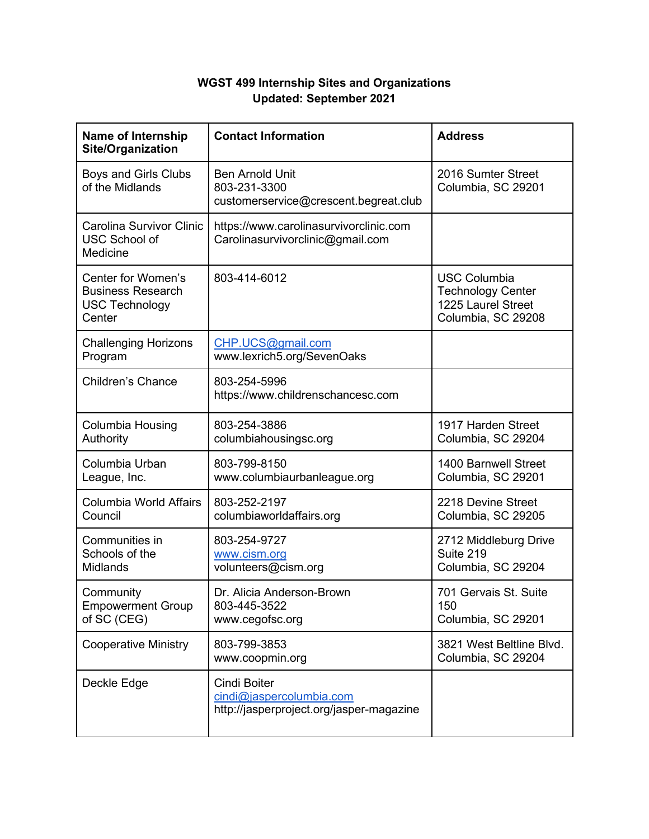## **WGST 499 Internship Sites and Organizations Updated: September 2021**

| <b>Name of Internship</b><br>Site/Organization                                    | <b>Contact Information</b>                                                           | <b>Address</b>                                                                              |
|-----------------------------------------------------------------------------------|--------------------------------------------------------------------------------------|---------------------------------------------------------------------------------------------|
| Boys and Girls Clubs<br>of the Midlands                                           | <b>Ben Arnold Unit</b><br>803-231-3300<br>customerservice@crescent.begreat.club      | 2016 Sumter Street<br>Columbia, SC 29201                                                    |
| Carolina Survivor Clinic<br><b>USC School of</b><br>Medicine                      | https://www.carolinasurvivorclinic.com<br>Carolinasurvivorclinic@gmail.com           |                                                                                             |
| Center for Women's<br><b>Business Research</b><br><b>USC Technology</b><br>Center | 803-414-6012                                                                         | <b>USC Columbia</b><br><b>Technology Center</b><br>1225 Laurel Street<br>Columbia, SC 29208 |
| <b>Challenging Horizons</b><br>Program                                            | CHP.UCS@gmail.com<br>www.lexrich5.org/SevenOaks                                      |                                                                                             |
| <b>Children's Chance</b>                                                          | 803-254-5996<br>https://www.childrenschancesc.com                                    |                                                                                             |
| Columbia Housing<br>Authority                                                     | 803-254-3886<br>columbiahousingsc.org                                                | 1917 Harden Street<br>Columbia, SC 29204                                                    |
| Columbia Urban<br>League, Inc.                                                    | 803-799-8150<br>www.columbiaurbanleague.org                                          | 1400 Barnwell Street<br>Columbia, SC 29201                                                  |
| <b>Columbia World Affairs</b><br>Council                                          | 803-252-2197<br>columbiaworldaffairs.org                                             | 2218 Devine Street<br>Columbia, SC 29205                                                    |
| Communities in<br>Schools of the<br><b>Midlands</b>                               | 803-254-9727<br>www.cism.org<br>volunteers@cism.org                                  | 2712 Middleburg Drive<br>Suite 219<br>Columbia, SC 29204                                    |
| Community<br><b>Empowerment Group</b><br>of SC (CEG)                              | Dr. Alicia Anderson-Brown<br>803-445-3522<br>www.cegofsc.org                         | 701 Gervais St. Suite<br>150<br>Columbia, SC 29201                                          |
| <b>Cooperative Ministry</b>                                                       | 803-799-3853<br>www.coopmin.org                                                      | 3821 West Beltline Blvd.<br>Columbia, SC 29204                                              |
| Deckle Edge                                                                       | Cindi Boiter<br>cindi@jaspercolumbia.com<br>http://jasperproject.org/jasper-magazine |                                                                                             |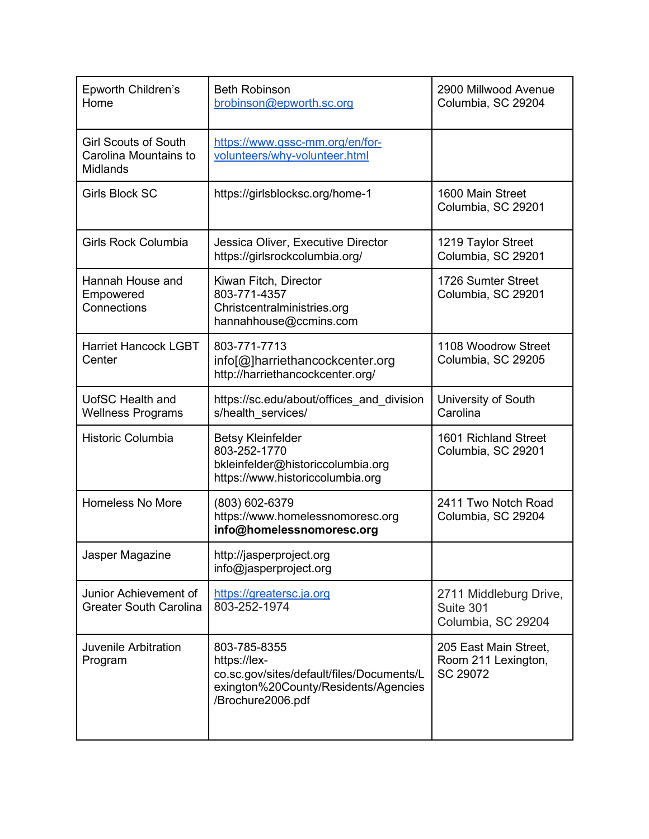| Epworth Children's<br>Home                                              | <b>Beth Robinson</b><br>brobinson@epworth.sc.org                                                                                       | 2900 Millwood Avenue<br>Columbia, SC 29204                |
|-------------------------------------------------------------------------|----------------------------------------------------------------------------------------------------------------------------------------|-----------------------------------------------------------|
| <b>Girl Scouts of South</b><br>Carolina Mountains to<br><b>Midlands</b> | https://www.gssc-mm.org/en/for-<br>volunteers/why-volunteer.html                                                                       |                                                           |
| <b>Girls Block SC</b>                                                   | https://girlsblocksc.org/home-1                                                                                                        | 1600 Main Street<br>Columbia, SC 29201                    |
| <b>Girls Rock Columbia</b>                                              | Jessica Oliver, Executive Director<br>https://girlsrockcolumbia.org/                                                                   | 1219 Taylor Street<br>Columbia, SC 29201                  |
| Hannah House and<br>Empowered<br>Connections                            | Kiwan Fitch, Director<br>803-771-4357<br>Christcentralministries.org<br>hannahhouse@ccmins.com                                         | 1726 Sumter Street<br>Columbia, SC 29201                  |
| <b>Harriet Hancock LGBT</b><br>Center                                   | 803-771-7713<br>info[@]harriethancockcenter.org<br>http://harriethancockcenter.org/                                                    | 1108 Woodrow Street<br>Columbia, SC 29205                 |
| <b>UofSC Health and</b><br><b>Wellness Programs</b>                     | https://sc.edu/about/offices and division<br>s/health services/                                                                        | University of South<br>Carolina                           |
| Historic Columbia                                                       | <b>Betsy Kleinfelder</b><br>803-252-1770<br>bkleinfelder@historiccolumbia.org<br>https://www.historiccolumbia.org                      | 1601 Richland Street<br>Columbia, SC 29201                |
| Homeless No More                                                        | (803) 602-6379<br>https://www.homelessnomoresc.org<br>info@homelessnomoresc.org                                                        | 2411 Two Notch Road<br>Columbia, SC 29204                 |
| Jasper Magazine                                                         | http://jasperproject.org<br>info@jasperproject.org                                                                                     |                                                           |
| Junior Achievement of<br><b>Greater South Carolina</b>                  | https://greatersc.ja.org<br>803-252-1974                                                                                               | 2711 Middleburg Drive,<br>Suite 301<br>Columbia, SC 29204 |
| <b>Juvenile Arbitration</b><br>Program                                  | 803-785-8355<br>https://lex-<br>co.sc.gov/sites/default/files/Documents/L<br>exington%20County/Residents/Agencies<br>/Brochure2006.pdf | 205 East Main Street,<br>Room 211 Lexington,<br>SC 29072  |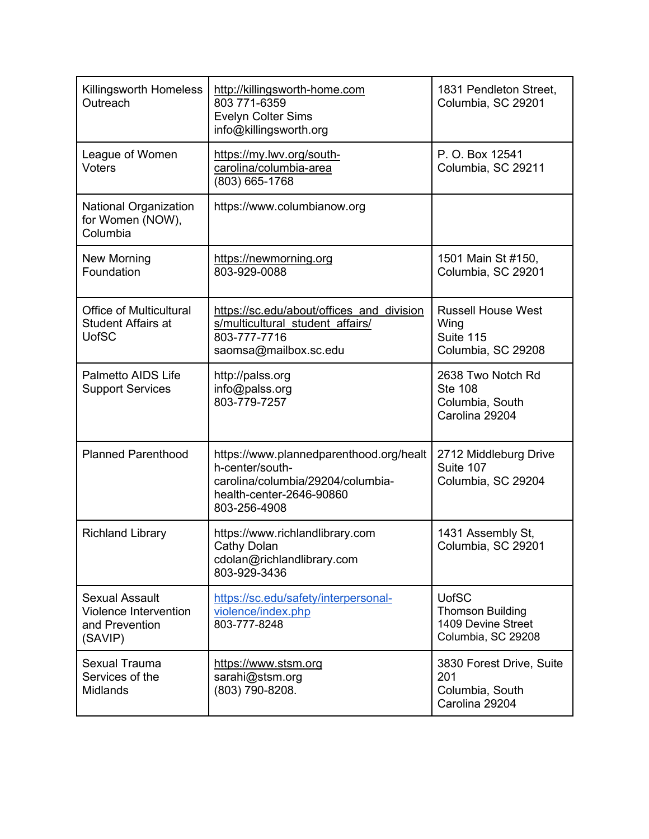| <b>Killingsworth Homeless</b><br>Outreach                                   | http://killingsworth-home.com<br>803 771-6359<br><b>Evelyn Colter Sims</b><br>info@killingsworth.org                                        | 1831 Pendleton Street,<br>Columbia, SC 29201                                        |
|-----------------------------------------------------------------------------|---------------------------------------------------------------------------------------------------------------------------------------------|-------------------------------------------------------------------------------------|
| League of Women<br><b>Voters</b>                                            | https://my.lwv.org/south-<br>carolina/columbia-area<br>(803) 665-1768                                                                       | P. O. Box 12541<br>Columbia, SC 29211                                               |
| <b>National Organization</b><br>for Women (NOW),<br>Columbia                | https://www.columbianow.org                                                                                                                 |                                                                                     |
| New Morning<br>Foundation                                                   | https://newmorning.org<br>803-929-0088                                                                                                      | 1501 Main St #150,<br>Columbia, SC 29201                                            |
| <b>Office of Multicultural</b><br><b>Student Affairs at</b><br><b>UofSC</b> | https://sc.edu/about/offices and division<br>s/multicultural student affairs/<br>803-777-7716<br>saomsa@mailbox.sc.edu                      | <b>Russell House West</b><br>Wing<br>Suite 115<br>Columbia, SC 29208                |
| <b>Palmetto AIDS Life</b><br><b>Support Services</b>                        | http://palss.org<br>info@palss.org<br>803-779-7257                                                                                          | 2638 Two Notch Rd<br><b>Ste 108</b><br>Columbia, South<br>Carolina 29204            |
| <b>Planned Parenthood</b>                                                   | https://www.plannedparenthood.org/healt<br>h-center/south-<br>carolina/columbia/29204/columbia-<br>health-center-2646-90860<br>803-256-4908 | 2712 Middleburg Drive<br>Suite 107<br>Columbia, SC 29204                            |
| <b>Richland Library</b>                                                     | https://www.richlandlibrary.com<br>Cathy Dolan<br>cdolan@richlandlibrary.com<br>803-929-3436                                                | 1431 Assembly St,<br>Columbia, SC 29201                                             |
| <b>Sexual Assault</b><br>Violence Intervention<br>and Prevention<br>(SAVIP) | https://sc.edu/safety/interpersonal-<br>violence/index.php<br>803-777-8248                                                                  | <b>UofSC</b><br><b>Thomson Building</b><br>1409 Devine Street<br>Columbia, SC 29208 |
| <b>Sexual Trauma</b><br>Services of the<br>Midlands                         | <u>https://www.stsm.org</u><br>sarahi@stsm.org<br>(803) 790-8208.                                                                           | 3830 Forest Drive, Suite<br>201<br>Columbia, South<br>Carolina 29204                |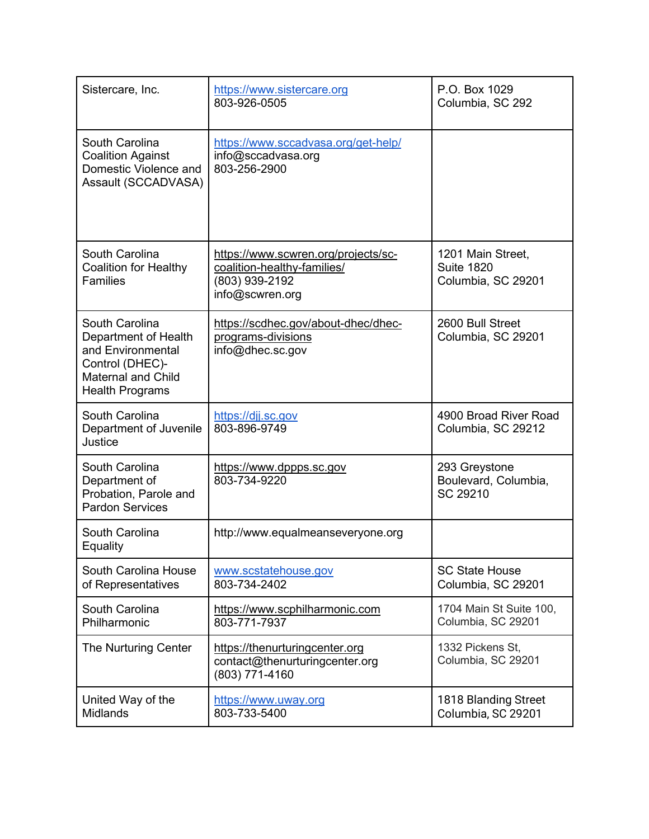| Sistercare, Inc.                                                                                                                      | https://www.sistercare.org<br>803-926-0505                                                              | P.O. Box 1029<br>Columbia, SC 292                            |
|---------------------------------------------------------------------------------------------------------------------------------------|---------------------------------------------------------------------------------------------------------|--------------------------------------------------------------|
| South Carolina<br><b>Coalition Against</b><br>Domestic Violence and<br>Assault (SCCADVASA)                                            | https://www.sccadvasa.org/get-help/<br>info@sccadvasa.org<br>803-256-2900                               |                                                              |
| South Carolina<br><b>Coalition for Healthy</b><br><b>Families</b>                                                                     | https://www.scwren.org/projects/sc-<br>coalition-healthy-families/<br>(803) 939-2192<br>info@scwren.org | 1201 Main Street,<br><b>Suite 1820</b><br>Columbia, SC 29201 |
| South Carolina<br>Department of Health<br>and Environmental<br>Control (DHEC)-<br><b>Maternal and Child</b><br><b>Health Programs</b> | https://scdhec.gov/about-dhec/dhec-<br>programs-divisions<br>info@dhec.sc.gov                           | 2600 Bull Street<br>Columbia, SC 29201                       |
| South Carolina<br>Department of Juvenile<br>Justice                                                                                   | https://djj.sc.gov<br>803-896-9749                                                                      | 4900 Broad River Road<br>Columbia, SC 29212                  |
| South Carolina<br>Department of<br>Probation, Parole and<br><b>Pardon Services</b>                                                    | https://www.dppps.sc.gov<br>803-734-9220                                                                | 293 Greystone<br>Boulevard, Columbia,<br>SC 29210            |
| South Carolina<br>Equality                                                                                                            | http://www.equalmeanseveryone.org                                                                       |                                                              |
| South Carolina House<br>of Representatives                                                                                            | www.scstatehouse.gov<br>803-734-2402                                                                    | <b>SC State House</b><br>Columbia, SC 29201                  |
| South Carolina<br>Philharmonic                                                                                                        | https://www.scphilharmonic.com<br>803-771-7937                                                          | 1704 Main St Suite 100,<br>Columbia, SC 29201                |
| The Nurturing Center                                                                                                                  | https://thenurturingcenter.org<br>contact@thenurturingcenter.org<br>(803) 771-4160                      | 1332 Pickens St,<br>Columbia, SC 29201                       |
| United Way of the<br><b>Midlands</b>                                                                                                  | https://www.uway.org<br>803-733-5400                                                                    | 1818 Blanding Street<br>Columbia, SC 29201                   |